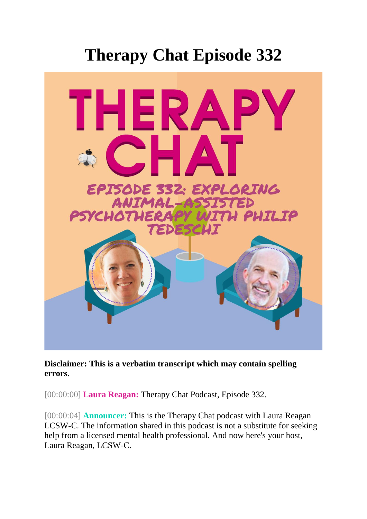## **Therapy Chat Episode 332**



**Disclaimer: This is a verbatim transcript which may contain spelling errors.** 

[00:00:00] **Laura Reagan:** Therapy Chat Podcast, Episode 332.

[00:00:04] **Announcer:** This is the Therapy Chat podcast with Laura Reagan LCSW-C. The information shared in this podcast is not a substitute for seeking help from a licensed mental health professional. And now here's your host, Laura Reagan, LCSW-C.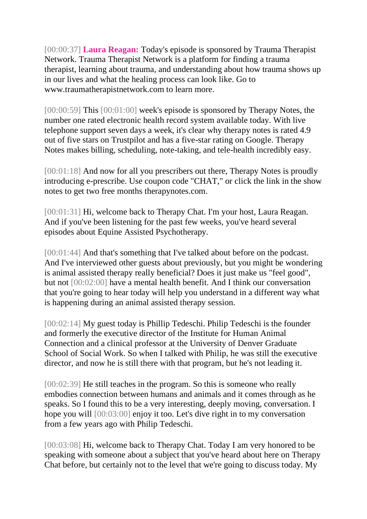[00:00:37] **Laura Reagan:** Today's episode is sponsored by Trauma Therapist Network. Trauma Therapist Network is a platform for finding a trauma therapist, learning about trauma, and understanding about how trauma shows up in our lives and what the healing process can look like. Go to www.traumatherapistnetwork.com to learn more.

[00:00:59] This [00:01:00] week's episode is sponsored by Therapy Notes, the number one rated electronic health record system available today. With live telephone support seven days a week, it's clear why therapy notes is rated 4.9 out of five stars on Trustpilot and has a five-star rating on Google. Therapy Notes makes billing, scheduling, note-taking, and tele-health incredibly easy.

[00:01:18] And now for all you prescribers out there, Therapy Notes is proudly introducing e-prescribe. Use coupon code "CHAT," or click the link in the show notes to get two free months therapynotes.com.

[00:01:31] Hi, welcome back to Therapy Chat. I'm your host, Laura Reagan. And if you've been listening for the past few weeks, you've heard several episodes about Equine Assisted Psychotherapy.

[00:01:44] And that's something that I've talked about before on the podcast. And I've interviewed other guests about previously, but you might be wondering is animal assisted therapy really beneficial? Does it just make us "feel good", but not [00:02:00] have a mental health benefit. And I think our conversation that you're going to hear today will help you understand in a different way what is happening during an animal assisted therapy session.

[00:02:14] My guest today is Phillip Tedeschi. Philip Tedeschi is the founder and formerly the executive director of the Institute for Human Animal Connection and a clinical professor at the University of Denver Graduate School of Social Work. So when I talked with Philip, he was still the executive director, and now he is still there with that program, but he's not leading it.

[00:02:39] He still teaches in the program. So this is someone who really embodies connection between humans and animals and it comes through as he speaks. So I found this to be a very interesting, deeply moving, conversation. I hope you will [00:03:00] enjoy it too. Let's dive right in to my conversation from a few years ago with Philip Tedeschi.

[00:03:08] Hi, welcome back to Therapy Chat. Today I am very honored to be speaking with someone about a subject that you've heard about here on Therapy Chat before, but certainly not to the level that we're going to discuss today. My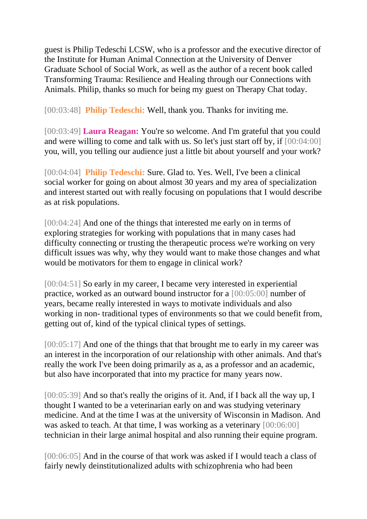guest is Philip Tedeschi LCSW, who is a professor and the executive director of the Institute for Human Animal Connection at the University of Denver Graduate School of Social Work, as well as the author of a recent book called Transforming Trauma: Resilience and Healing through our Connections with Animals. Philip, thanks so much for being my guest on Therapy Chat today.

[00:03:48] **Philip Tedeschi:** Well, thank you. Thanks for inviting me.

[00:03:49] **Laura Reagan:** You're so welcome. And I'm grateful that you could and were willing to come and talk with us. So let's just start off by, if [00:04:00] you, will, you telling our audience just a little bit about yourself and your work?

[00:04:04] **Philip Tedeschi:** Sure. Glad to. Yes. Well, I've been a clinical social worker for going on about almost 30 years and my area of specialization and interest started out with really focusing on populations that I would describe as at risk populations.

[00:04:24] And one of the things that interested me early on in terms of exploring strategies for working with populations that in many cases had difficulty connecting or trusting the therapeutic process we're working on very difficult issues was why, why they would want to make those changes and what would be motivators for them to engage in clinical work?

[00:04:51] So early in my career, I became very interested in experiential practice, worked as an outward bound instructor for a [00:05:00] number of years, became really interested in ways to motivate individuals and also working in non- traditional types of environments so that we could benefit from, getting out of, kind of the typical clinical types of settings.

[00:05:17] And one of the things that that brought me to early in my career was an interest in the incorporation of our relationship with other animals. And that's really the work I've been doing primarily as a, as a professor and an academic, but also have incorporated that into my practice for many years now.

[00:05:39] And so that's really the origins of it. And, if I back all the way up, I thought I wanted to be a veterinarian early on and was studying veterinary medicine. And at the time I was at the university of Wisconsin in Madison. And was asked to teach. At that time, I was working as a veterinary  $[00:06:00]$ technician in their large animal hospital and also running their equine program.

[00:06:05] And in the course of that work was asked if I would teach a class of fairly newly deinstitutionalized adults with schizophrenia who had been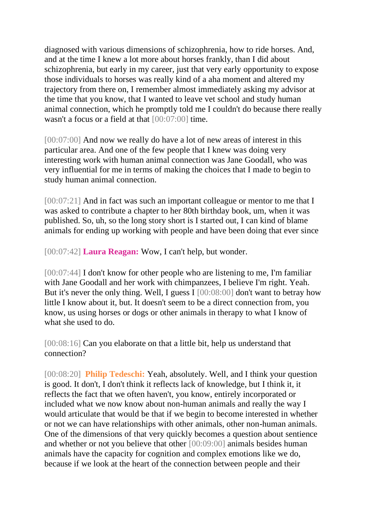diagnosed with various dimensions of schizophrenia, how to ride horses. And, and at the time I knew a lot more about horses frankly, than I did about schizophrenia, but early in my career, just that very early opportunity to expose those individuals to horses was really kind of a aha moment and altered my trajectory from there on, I remember almost immediately asking my advisor at the time that you know, that I wanted to leave vet school and study human animal connection, which he promptly told me I couldn't do because there really wasn't a focus or a field at that [00:07:00] time.

[00:07:00] And now we really do have a lot of new areas of interest in this particular area. And one of the few people that I knew was doing very interesting work with human animal connection was Jane Goodall, who was very influential for me in terms of making the choices that I made to begin to study human animal connection.

[00:07:21] And in fact was such an important colleague or mentor to me that I was asked to contribute a chapter to her 80th birthday book, um, when it was published. So, uh, so the long story short is I started out, I can kind of blame animals for ending up working with people and have been doing that ever since

[00:07:42] **Laura Reagan:** Wow, I can't help, but wonder.

[00:07:44] I don't know for other people who are listening to me, I'm familiar with Jane Goodall and her work with chimpanzees, I believe I'm right. Yeah. But it's never the only thing. Well, I guess I [00:08:00] don't want to betray how little I know about it, but. It doesn't seem to be a direct connection from, you know, us using horses or dogs or other animals in therapy to what I know of what she used to do.

[00:08:16] Can you elaborate on that a little bit, help us understand that connection?

[00:08:20] **Philip Tedeschi:** Yeah, absolutely. Well, and I think your question is good. It don't, I don't think it reflects lack of knowledge, but I think it, it reflects the fact that we often haven't, you know, entirely incorporated or included what we now know about non-human animals and really the way I would articulate that would be that if we begin to become interested in whether or not we can have relationships with other animals, other non-human animals. One of the dimensions of that very quickly becomes a question about sentience and whether or not you believe that other [00:09:00] animals besides human animals have the capacity for cognition and complex emotions like we do, because if we look at the heart of the connection between people and their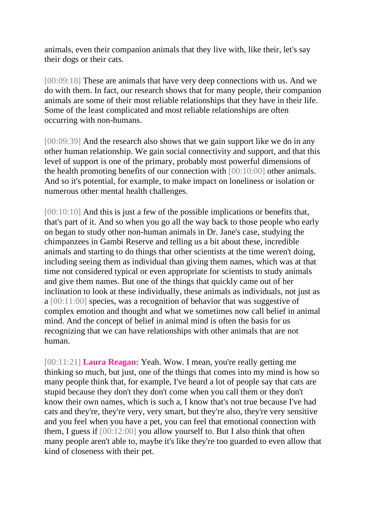animals, even their companion animals that they live with, like their, let's say their dogs or their cats.

[00:09:18] These are animals that have very deep connections with us. And we do with them. In fact, our research shows that for many people, their companion animals are some of their most reliable relationships that they have in their life. Some of the least complicated and most reliable relationships are often occurring with non-humans.

[00:09:39] And the research also shows that we gain support like we do in any other human relationship. We gain social connectivity and support, and that this level of support is one of the primary, probably most powerful dimensions of the health promoting benefits of our connection with [00:10:00] other animals. And so it's potential, for example, to make impact on loneliness or isolation or numerous other mental health challenges.

[00:10:10] And this is just a few of the possible implications or benefits that, that's part of it. And so when you go all the way back to those people who early on began to study other non-human animals in Dr. Jane's case, studying the chimpanzees in Gambi Reserve and telling us a bit about these, incredible animals and starting to do things that other scientists at the time weren't doing, including seeing them as individual than giving them names, which was at that time not considered typical or even appropriate for scientists to study animals and give them names. But one of the things that quickly came out of her inclination to look at these individually, these animals as individuals, not just as a [00:11:00] species, was a recognition of behavior that was suggestive of complex emotion and thought and what we sometimes now call belief in animal mind. And the concept of belief in animal mind is often the basis for us recognizing that we can have relationships with other animals that are not human.

[00:11:21] **Laura Reagan:** Yeah. Wow. I mean, you're really getting me thinking so much, but just, one of the things that comes into my mind is how so many people think that, for example, I've heard a lot of people say that cats are stupid because they don't they don't come when you call them or they don't know their own names, which is such a, I know that's not true because I've had cats and they're, they're very, very smart, but they're also, they're very sensitive and you feel when you have a pet, you can feel that emotional connection with them, I guess if [00:12:00] you allow yourself to. But I also think that often many people aren't able to, maybe it's like they're too guarded to even allow that kind of closeness with their pet.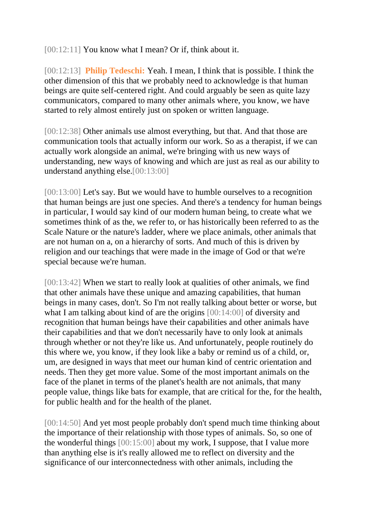[00:12:11] You know what I mean? Or if, think about it.

[00:12:13] **Philip Tedeschi:** Yeah. I mean, I think that is possible. I think the other dimension of this that we probably need to acknowledge is that human beings are quite self-centered right. And could arguably be seen as quite lazy communicators, compared to many other animals where, you know, we have started to rely almost entirely just on spoken or written language.

[00:12:38] Other animals use almost everything, but that. And that those are communication tools that actually inform our work. So as a therapist, if we can actually work alongside an animal, we're bringing with us new ways of understanding, new ways of knowing and which are just as real as our ability to understand anything else.[00:13:00]

[00:13:00] Let's say. But we would have to humble ourselves to a recognition that human beings are just one species. And there's a tendency for human beings in particular, I would say kind of our modern human being, to create what we sometimes think of as the, we refer to, or has historically been referred to as the Scale Nature or the nature's ladder, where we place animals, other animals that are not human on a, on a hierarchy of sorts. And much of this is driven by religion and our teachings that were made in the image of God or that we're special because we're human.

[00:13:42] When we start to really look at qualities of other animals, we find that other animals have these unique and amazing capabilities, that human beings in many cases, don't. So I'm not really talking about better or worse, but what I am talking about kind of are the origins [00:14:00] of diversity and recognition that human beings have their capabilities and other animals have their capabilities and that we don't necessarily have to only look at animals through whether or not they're like us. And unfortunately, people routinely do this where we, you know, if they look like a baby or remind us of a child, or, um, are designed in ways that meet our human kind of centric orientation and needs. Then they get more value. Some of the most important animals on the face of the planet in terms of the planet's health are not animals, that many people value, things like bats for example, that are critical for the, for the health, for public health and for the health of the planet.

[00:14:50] And yet most people probably don't spend much time thinking about the importance of their relationship with those types of animals. So, so one of the wonderful things [00:15:00] about my work, I suppose, that I value more than anything else is it's really allowed me to reflect on diversity and the significance of our interconnectedness with other animals, including the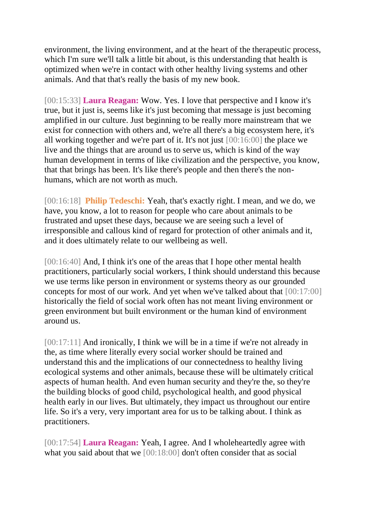environment, the living environment, and at the heart of the therapeutic process, which I'm sure we'll talk a little bit about, is this understanding that health is optimized when we're in contact with other healthy living systems and other animals. And that that's really the basis of my new book.

[00:15:33] **Laura Reagan:** Wow. Yes. I love that perspective and I know it's true, but it just is, seems like it's just becoming that message is just becoming amplified in our culture. Just beginning to be really more mainstream that we exist for connection with others and, we're all there's a big ecosystem here, it's all working together and we're part of it. It's not just [00:16:00] the place we live and the things that are around us to serve us, which is kind of the way human development in terms of like civilization and the perspective, you know, that that brings has been. It's like there's people and then there's the nonhumans, which are not worth as much.

[00:16:18] **Philip Tedeschi:** Yeah, that's exactly right. I mean, and we do, we have, you know, a lot to reason for people who care about animals to be frustrated and upset these days, because we are seeing such a level of irresponsible and callous kind of regard for protection of other animals and it, and it does ultimately relate to our wellbeing as well.

[00:16:40] And, I think it's one of the areas that I hope other mental health practitioners, particularly social workers, I think should understand this because we use terms like person in environment or systems theory as our grounded concepts for most of our work. And yet when we've talked about that [00:17:00] historically the field of social work often has not meant living environment or green environment but built environment or the human kind of environment around us.

[00:17:11] And ironically, I think we will be in a time if we're not already in the, as time where literally every social worker should be trained and understand this and the implications of our connectedness to healthy living ecological systems and other animals, because these will be ultimately critical aspects of human health. And even human security and they're the, so they're the building blocks of good child, psychological health, and good physical health early in our lives. But ultimately, they impact us throughout our entire life. So it's a very, very important area for us to be talking about. I think as practitioners.

[00:17:54] **Laura Reagan:** Yeah, I agree. And I wholeheartedly agree with what you said about that we [00:18:00] don't often consider that as social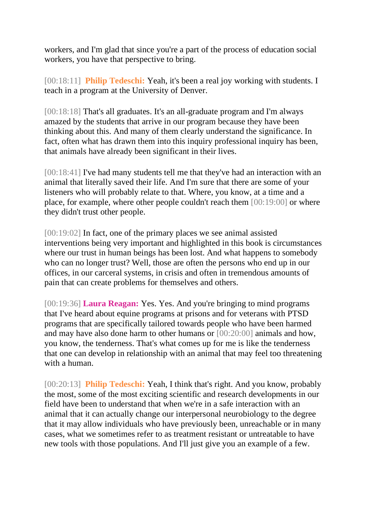workers, and I'm glad that since you're a part of the process of education social workers, you have that perspective to bring.

[00:18:11] **Philip Tedeschi:** Yeah, it's been a real joy working with students. I teach in a program at the University of Denver.

[00:18:18] That's all graduates. It's an all-graduate program and I'm always amazed by the students that arrive in our program because they have been thinking about this. And many of them clearly understand the significance. In fact, often what has drawn them into this inquiry professional inquiry has been, that animals have already been significant in their lives.

[00:18:41] I've had many students tell me that they've had an interaction with an animal that literally saved their life. And I'm sure that there are some of your listeners who will probably relate to that. Where, you know, at a time and a place, for example, where other people couldn't reach them [00:19:00] or where they didn't trust other people.

[00:19:02] In fact, one of the primary places we see animal assisted interventions being very important and highlighted in this book is circumstances where our trust in human beings has been lost. And what happens to somebody who can no longer trust? Well, those are often the persons who end up in our offices, in our carceral systems, in crisis and often in tremendous amounts of pain that can create problems for themselves and others.

[00:19:36] **Laura Reagan:** Yes. Yes. And you're bringing to mind programs that I've heard about equine programs at prisons and for veterans with PTSD programs that are specifically tailored towards people who have been harmed and may have also done harm to other humans or [00:20:00] animals and how, you know, the tenderness. That's what comes up for me is like the tenderness that one can develop in relationship with an animal that may feel too threatening with a human.

[00:20:13] **Philip Tedeschi:** Yeah, I think that's right. And you know, probably the most, some of the most exciting scientific and research developments in our field have been to understand that when we're in a safe interaction with an animal that it can actually change our interpersonal neurobiology to the degree that it may allow individuals who have previously been, unreachable or in many cases, what we sometimes refer to as treatment resistant or untreatable to have new tools with those populations. And I'll just give you an example of a few.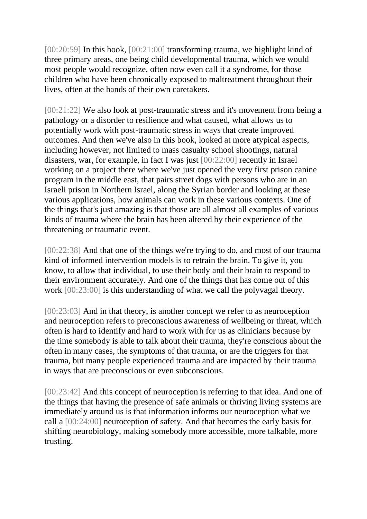[00:20:59] In this book, [00:21:00] transforming trauma, we highlight kind of three primary areas, one being child developmental trauma, which we would most people would recognize, often now even call it a syndrome, for those children who have been chronically exposed to maltreatment throughout their lives, often at the hands of their own caretakers.

[00:21:22] We also look at post-traumatic stress and it's movement from being a pathology or a disorder to resilience and what caused, what allows us to potentially work with post-traumatic stress in ways that create improved outcomes. And then we've also in this book, looked at more atypical aspects, including however, not limited to mass casualty school shootings, natural disasters, war, for example, in fact I was just [00:22:00] recently in Israel working on a project there where we've just opened the very first prison canine program in the middle east, that pairs street dogs with persons who are in an Israeli prison in Northern Israel, along the Syrian border and looking at these various applications, how animals can work in these various contexts. One of the things that's just amazing is that those are all almost all examples of various kinds of trauma where the brain has been altered by their experience of the threatening or traumatic event.

[00:22:38] And that one of the things we're trying to do, and most of our trauma kind of informed intervention models is to retrain the brain. To give it, you know, to allow that individual, to use their body and their brain to respond to their environment accurately. And one of the things that has come out of this work [00:23:00] is this understanding of what we call the polyvagal theory.

[00:23:03] And in that theory, is another concept we refer to as neuroception and neuroception refers to preconscious awareness of wellbeing or threat, which often is hard to identify and hard to work with for us as clinicians because by the time somebody is able to talk about their trauma, they're conscious about the often in many cases, the symptoms of that trauma, or are the triggers for that trauma, but many people experienced trauma and are impacted by their trauma in ways that are preconscious or even subconscious.

[00:23:42] And this concept of neuroception is referring to that idea. And one of the things that having the presence of safe animals or thriving living systems are immediately around us is that information informs our neuroception what we call a [00:24:00] neuroception of safety. And that becomes the early basis for shifting neurobiology, making somebody more accessible, more talkable, more trusting.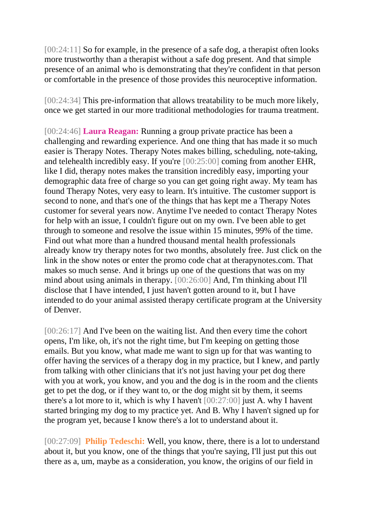[00:24:11] So for example, in the presence of a safe dog, a therapist often looks more trustworthy than a therapist without a safe dog present. And that simple presence of an animal who is demonstrating that they're confident in that person or comfortable in the presence of those provides this neuroceptive information.

[00:24:34] This pre-information that allows treatability to be much more likely, once we get started in our more traditional methodologies for trauma treatment.

[00:24:46] **Laura Reagan:** Running a group private practice has been a challenging and rewarding experience. And one thing that has made it so much easier is Therapy Notes. Therapy Notes makes billing, scheduling, note-taking, and telehealth incredibly easy. If you're [00:25:00] coming from another EHR, like I did, therapy notes makes the transition incredibly easy, importing your demographic data free of charge so you can get going right away. My team has found Therapy Notes, very easy to learn. It's intuitive. The customer support is second to none, and that's one of the things that has kept me a Therapy Notes customer for several years now. Anytime I've needed to contact Therapy Notes for help with an issue, I couldn't figure out on my own. I've been able to get through to someone and resolve the issue within 15 minutes, 99% of the time. Find out what more than a hundred thousand mental health professionals already know try therapy notes for two months, absolutely free. Just click on the link in the show notes or enter the promo code chat at therapynotes.com. That makes so much sense. And it brings up one of the questions that was on my mind about using animals in therapy. [00:26:00] And, I'm thinking about I'll disclose that I have intended, I just haven't gotten around to it, but I have intended to do your animal assisted therapy certificate program at the University of Denver.

[00:26:17] And I've been on the waiting list. And then every time the cohort opens, I'm like, oh, it's not the right time, but I'm keeping on getting those emails. But you know, what made me want to sign up for that was wanting to offer having the services of a therapy dog in my practice, but I knew, and partly from talking with other clinicians that it's not just having your pet dog there with you at work, you know, and you and the dog is in the room and the clients get to pet the dog, or if they want to, or the dog might sit by them, it seems there's a lot more to it, which is why I haven't [00:27:00] just A. why I havent started bringing my dog to my practice yet. And B. Why I haven't signed up for the program yet, because I know there's a lot to understand about it.

[00:27:09] **Philip Tedeschi:** Well, you know, there, there is a lot to understand about it, but you know, one of the things that you're saying, I'll just put this out there as a, um, maybe as a consideration, you know, the origins of our field in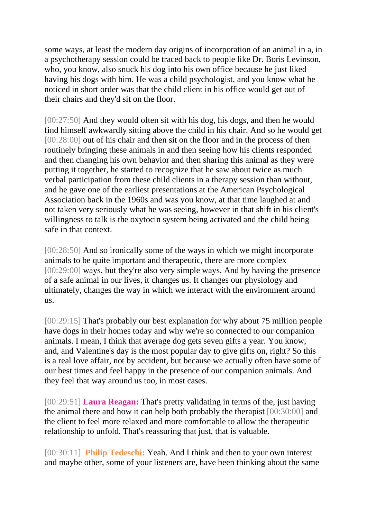some ways, at least the modern day origins of incorporation of an animal in a, in a psychotherapy session could be traced back to people like Dr. Boris Levinson, who, you know, also snuck his dog into his own office because he just liked having his dogs with him. He was a child psychologist, and you know what he noticed in short order was that the child client in his office would get out of their chairs and they'd sit on the floor.

[00:27:50] And they would often sit with his dog, his dogs, and then he would find himself awkwardly sitting above the child in his chair. And so he would get [00:28:00] out of his chair and then sit on the floor and in the process of then routinely bringing these animals in and then seeing how his clients responded and then changing his own behavior and then sharing this animal as they were putting it together, he started to recognize that he saw about twice as much verbal participation from these child clients in a therapy session than without, and he gave one of the earliest presentations at the American Psychological Association back in the 1960s and was you know, at that time laughed at and not taken very seriously what he was seeing, however in that shift in his client's willingness to talk is the oxytocin system being activated and the child being safe in that context.

[00:28:50] And so ironically some of the ways in which we might incorporate animals to be quite important and therapeutic, there are more complex [00:29:00] ways, but they're also very simple ways. And by having the presence of a safe animal in our lives, it changes us. It changes our physiology and ultimately, changes the way in which we interact with the environment around us.

[00:29:15] That's probably our best explanation for why about 75 million people have dogs in their homes today and why we're so connected to our companion animals. I mean, I think that average dog gets seven gifts a year. You know, and, and Valentine's day is the most popular day to give gifts on, right? So this is a real love affair, not by accident, but because we actually often have some of our best times and feel happy in the presence of our companion animals. And they feel that way around us too, in most cases.

[00:29:51] **Laura Reagan:** That's pretty validating in terms of the, just having the animal there and how it can help both probably the therapist [00:30:00] and the client to feel more relaxed and more comfortable to allow the therapeutic relationship to unfold. That's reassuring that just, that is valuable.

[00:30:11] **Philip Tedeschi:** Yeah. And I think and then to your own interest and maybe other, some of your listeners are, have been thinking about the same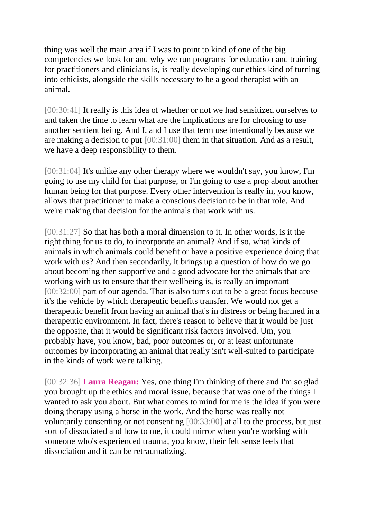thing was well the main area if I was to point to kind of one of the big competencies we look for and why we run programs for education and training for practitioners and clinicians is, is really developing our ethics kind of turning into ethicists, alongside the skills necessary to be a good therapist with an animal.

[00:30:41] It really is this idea of whether or not we had sensitized ourselves to and taken the time to learn what are the implications are for choosing to use another sentient being. And I, and I use that term use intentionally because we are making a decision to put [00:31:00] them in that situation. And as a result, we have a deep responsibility to them.

[00:31:04] It's unlike any other therapy where we wouldn't say, you know, I'm going to use my child for that purpose, or I'm going to use a prop about another human being for that purpose. Every other intervention is really in, you know, allows that practitioner to make a conscious decision to be in that role. And we're making that decision for the animals that work with us.

[00:31:27] So that has both a moral dimension to it. In other words, is it the right thing for us to do, to incorporate an animal? And if so, what kinds of animals in which animals could benefit or have a positive experience doing that work with us? And then secondarily, it brings up a question of how do we go about becoming then supportive and a good advocate for the animals that are working with us to ensure that their wellbeing is, is really an important [00:32:00] part of our agenda. That is also turns out to be a great focus because it's the vehicle by which therapeutic benefits transfer. We would not get a therapeutic benefit from having an animal that's in distress or being harmed in a therapeutic environment. In fact, there's reason to believe that it would be just the opposite, that it would be significant risk factors involved. Um, you probably have, you know, bad, poor outcomes or, or at least unfortunate outcomes by incorporating an animal that really isn't well-suited to participate in the kinds of work we're talking.

[00:32:36] **Laura Reagan:** Yes, one thing I'm thinking of there and I'm so glad you brought up the ethics and moral issue, because that was one of the things I wanted to ask you about. But what comes to mind for me is the idea if you were doing therapy using a horse in the work. And the horse was really not voluntarily consenting or not consenting [00:33:00] at all to the process, but just sort of dissociated and how to me, it could mirror when you're working with someone who's experienced trauma, you know, their felt sense feels that dissociation and it can be retraumatizing.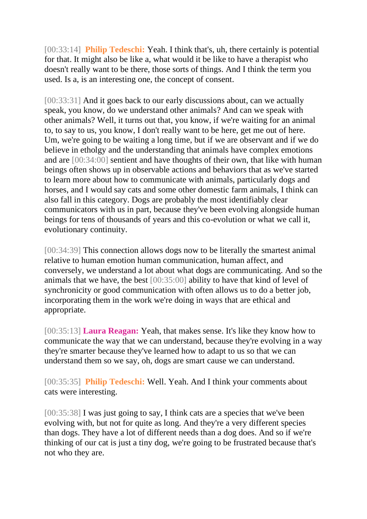[00:33:14] **Philip Tedeschi:** Yeah. I think that's, uh, there certainly is potential for that. It might also be like a, what would it be like to have a therapist who doesn't really want to be there, those sorts of things. And I think the term you used. Is a, is an interesting one, the concept of consent.

[00:33:31] And it goes back to our early discussions about, can we actually speak, you know, do we understand other animals? And can we speak with other animals? Well, it turns out that, you know, if we're waiting for an animal to, to say to us, you know, I don't really want to be here, get me out of here. Um, we're going to be waiting a long time, but if we are observant and if we do believe in etholgy and the understanding that animals have complex emotions and are [00:34:00] sentient and have thoughts of their own, that like with human beings often shows up in observable actions and behaviors that as we've started to learn more about how to communicate with animals, particularly dogs and horses, and I would say cats and some other domestic farm animals, I think can also fall in this category. Dogs are probably the most identifiably clear communicators with us in part, because they've been evolving alongside human beings for tens of thousands of years and this co-evolution or what we call it, evolutionary continuity.

[00:34:39] This connection allows dogs now to be literally the smartest animal relative to human emotion human communication, human affect, and conversely, we understand a lot about what dogs are communicating. And so the animals that we have, the best [00:35:00] ability to have that kind of level of synchronicity or good communication with often allows us to do a better job, incorporating them in the work we're doing in ways that are ethical and appropriate.

[00:35:13] **Laura Reagan:** Yeah, that makes sense. It's like they know how to communicate the way that we can understand, because they're evolving in a way they're smarter because they've learned how to adapt to us so that we can understand them so we say, oh, dogs are smart cause we can understand.

[00:35:35] **Philip Tedeschi:** Well. Yeah. And I think your comments about cats were interesting.

[00:35:38] I was just going to say, I think cats are a species that we've been evolving with, but not for quite as long. And they're a very different species than dogs. They have a lot of different needs than a dog does. And so if we're thinking of our cat is just a tiny dog, we're going to be frustrated because that's not who they are.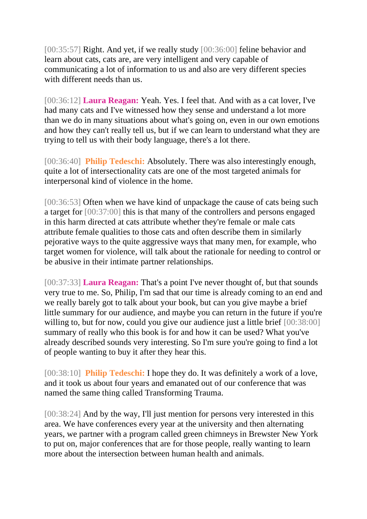[00:35:57] Right. And yet, if we really study [00:36:00] feline behavior and learn about cats, cats are, are very intelligent and very capable of communicating a lot of information to us and also are very different species with different needs than us.

[00:36:12] **Laura Reagan:** Yeah. Yes. I feel that. And with as a cat lover, I've had many cats and I've witnessed how they sense and understand a lot more than we do in many situations about what's going on, even in our own emotions and how they can't really tell us, but if we can learn to understand what they are trying to tell us with their body language, there's a lot there.

[00:36:40] **Philip Tedeschi:** Absolutely. There was also interestingly enough, quite a lot of intersectionality cats are one of the most targeted animals for interpersonal kind of violence in the home.

[00:36:53] Often when we have kind of unpackage the cause of cats being such a target for [00:37:00] this is that many of the controllers and persons engaged in this harm directed at cats attribute whether they're female or male cats attribute female qualities to those cats and often describe them in similarly pejorative ways to the quite aggressive ways that many men, for example, who target women for violence, will talk about the rationale for needing to control or be abusive in their intimate partner relationships.

[00:37:33] **Laura Reagan:** That's a point I've never thought of, but that sounds very true to me. So, Philip, I'm sad that our time is already coming to an end and we really barely got to talk about your book, but can you give maybe a brief little summary for our audience, and maybe you can return in the future if you're willing to, but for now, could you give our audience just a little brief  $[00:38:00]$ summary of really who this book is for and how it can be used? What you've already described sounds very interesting. So I'm sure you're going to find a lot of people wanting to buy it after they hear this.

[00:38:10] **Philip Tedeschi:** I hope they do. It was definitely a work of a love, and it took us about four years and emanated out of our conference that was named the same thing called Transforming Trauma.

[00:38:24] And by the way, I'll just mention for persons very interested in this area. We have conferences every year at the university and then alternating years, we partner with a program called green chimneys in Brewster New York to put on, major conferences that are for those people, really wanting to learn more about the intersection between human health and animals.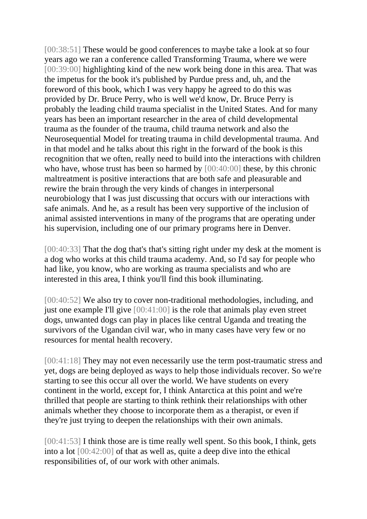[00:38:51] These would be good conferences to maybe take a look at so four years ago we ran a conference called Transforming Trauma, where we were [00:39:00] highlighting kind of the new work being done in this area. That was the impetus for the book it's published by Purdue press and, uh, and the foreword of this book, which I was very happy he agreed to do this was provided by Dr. Bruce Perry, who is well we'd know, Dr. Bruce Perry is probably the leading child trauma specialist in the United States. And for many years has been an important researcher in the area of child developmental trauma as the founder of the trauma, child trauma network and also the Neurosequential Model for treating trauma in child developmental trauma. And in that model and he talks about this right in the forward of the book is this recognition that we often, really need to build into the interactions with children who have, whose trust has been so harmed by  $[00:40:00]$  these, by this chronic maltreatment is positive interactions that are both safe and pleasurable and rewire the brain through the very kinds of changes in interpersonal neurobiology that I was just discussing that occurs with our interactions with safe animals. And he, as a result has been very supportive of the inclusion of animal assisted interventions in many of the programs that are operating under his supervision, including one of our primary programs here in Denver.

[00:40:33] That the dog that's that's sitting right under my desk at the moment is a dog who works at this child trauma academy. And, so I'd say for people who had like, you know, who are working as trauma specialists and who are interested in this area, I think you'll find this book illuminating.

[00:40:52] We also try to cover non-traditional methodologies, including, and just one example I'll give [00:41:00] is the role that animals play even street dogs, unwanted dogs can play in places like central Uganda and treating the survivors of the Ugandan civil war, who in many cases have very few or no resources for mental health recovery.

[00:41:18] They may not even necessarily use the term post-traumatic stress and yet, dogs are being deployed as ways to help those individuals recover. So we're starting to see this occur all over the world. We have students on every continent in the world, except for, I think Antarctica at this point and we're thrilled that people are starting to think rethink their relationships with other animals whether they choose to incorporate them as a therapist, or even if they're just trying to deepen the relationships with their own animals.

[00:41:53] I think those are is time really well spent. So this book, I think, gets into a lot [00:42:00] of that as well as, quite a deep dive into the ethical responsibilities of, of our work with other animals.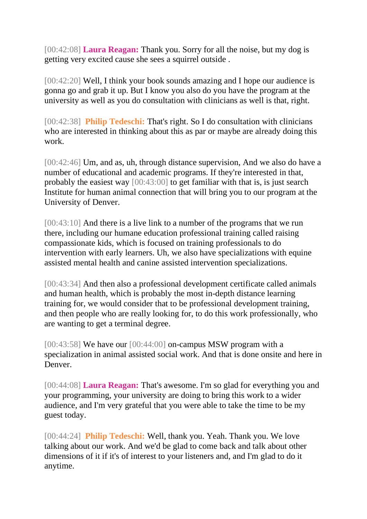[00:42:08] **Laura Reagan:** Thank you. Sorry for all the noise, but my dog is getting very excited cause she sees a squirrel outside .

[00:42:20] Well, I think your book sounds amazing and I hope our audience is gonna go and grab it up. But I know you also do you have the program at the university as well as you do consultation with clinicians as well is that, right.

[00:42:38] **Philip Tedeschi:** That's right. So I do consultation with clinicians who are interested in thinking about this as par or maybe are already doing this work.

[00:42:46] Um, and as, uh, through distance supervision, And we also do have a number of educational and academic programs. If they're interested in that, probably the easiest way [00:43:00] to get familiar with that is, is just search Institute for human animal connection that will bring you to our program at the University of Denver.

[00:43:10] And there is a live link to a number of the programs that we run there, including our humane education professional training called raising compassionate kids, which is focused on training professionals to do intervention with early learners. Uh, we also have specializations with equine assisted mental health and canine assisted intervention specializations.

[00:43:34] And then also a professional development certificate called animals and human health, which is probably the most in-depth distance learning training for, we would consider that to be professional development training, and then people who are really looking for, to do this work professionally, who are wanting to get a terminal degree.

 $[00:43:58]$  We have our  $[00:44:00]$  on-campus MSW program with a specialization in animal assisted social work. And that is done onsite and here in **Denver** 

[00:44:08] **Laura Reagan:** That's awesome. I'm so glad for everything you and your programming, your university are doing to bring this work to a wider audience, and I'm very grateful that you were able to take the time to be my guest today.

[00:44:24] **Philip Tedeschi:** Well, thank you. Yeah. Thank you. We love talking about our work. And we'd be glad to come back and talk about other dimensions of it if it's of interest to your listeners and, and I'm glad to do it anytime.